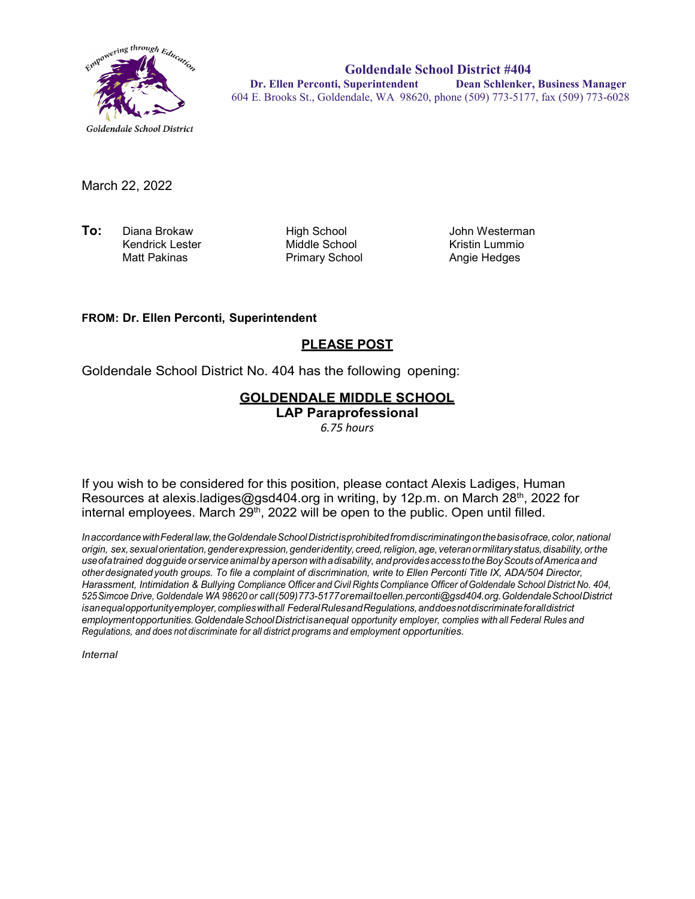

**Goldendale School District #404 Dr. Ellen Perconti, Superintendent Dean Schlenker, Business Manager** 604 E. Brooks St., Goldendale, WA 98620, phone (509) 773-5177, fax (509) 773-6028

March 22, 2022

**To:** Diana Brokaw High School John Westerman Kendrick Lester **Middle School**<br>Matt Pakinas **Middle School** Kristin Lummio

Primary School

### **FROM: Dr. Ellen Perconti, Superintendent**

## **PLEASE POST**

Goldendale School District No. 404 has the following opening:

# **GOLDENDALE MIDDLE SCHOOL**

**LAP Paraprofessional**

*6.75 hours*

If you wish to be considered for this position, please contact Alexis Ladiges, Human Resources at alexis.ladiges@gsd404.org in writing, by 12p.m. on March 28<sup>th</sup>, 2022 for internal employees. March  $29<sup>th</sup>$ , 2022 will be open to the public. Open until filled.

*InaccordancewithFederal law,theGoldendaleSchoolDistrictisprohibitedfromdiscriminatingonthebasisofrace,color,national origin, sex,sexualorientation,genderexpression,genderidentity, creed,religion,age, veteranormilitarystatus,disability, orthe useofatrained dogguide orservice animal by aperson withadisability, andprovidesaccess totheBoyScouts ofAmerica and other designated youth groups. To file a complaint of discrimination, write to Ellen Perconti Title IX, ADA/504 Director, Harassment, Intimidation & Bullying Compliance Officer and Civil Rights Compliance Officer ofGoldendale School District No. 404, 525Simcoe Drive, Goldendale WA 98620 or call(509)773-5177oremailt[oellen.perconti@gsd404.org.G](mailto:ellen.perconti@gsd404.org)oldendaleSchoolDistrict isanequalopportunityemployer,complieswithall FederalRulesandRegulations,anddoesnotdiscriminateforalldistrict employmentopportunities.GoldendaleSchoolDistrictisanequal opportunity employer, complies with all Federal Rules and Regulations, and does not discriminate for all district programs and employment opportunities.*

*Internal*